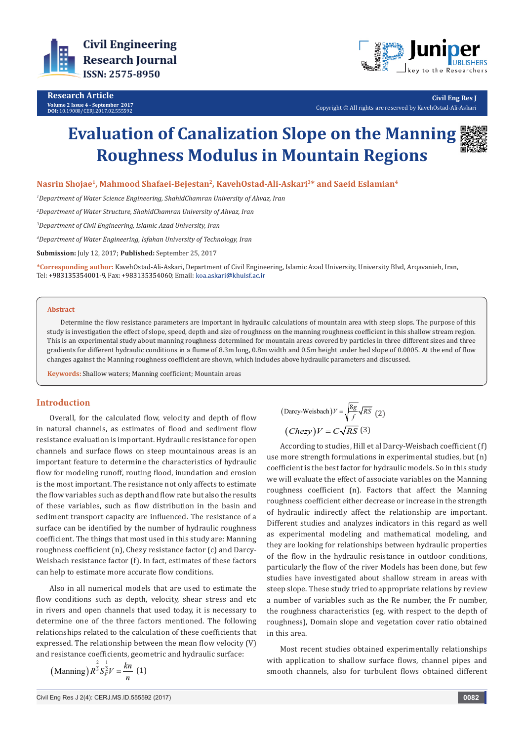

**Research Article Volume 2 Issue 4 - September 2017 DOI:** [10.19080/CERJ.2017.02.555592](http://dx.doi.org/10.19080/CERJ.2017.02.555592
)



**Civil Eng Res J** Copyright © All rights are reserved by KavehOstad-Ali-Askari

# **Evaluation of Canalization Slope on the Manning Roughness Modulus in Mountain Regions**



**Nasrin Shojae1, Mahmood Shafaei-Bejestan2, KavehOstad-Ali-Askari3\* and Saeid Eslamian4**

*1 Department of Water Science Engineering, ShahidChamran University of Ahvaz, Iran* 

*2 Department of Water Structure, ShahidChamran University of Ahvaz, Iran* 

*3 Department of Civil Engineering, Islamic Azad University, Iran*

*4 Department of Water Engineering, Isfahan University of Technology, Iran* 

**Submission:** July 12, 2017; **Published:** September 25, 2017

**\*Corresponding author:** KavehOstad-Ali-Askari, Department of Civil Engineering, Islamic Azad University, University Blvd, Arqavanieh, Iran, Tel: +983135354001-9, Fax: +983135354060; Email: koa.askari@khuisf.ac.ir

#### **Abstract**

Determine the flow resistance parameters are important in hydraulic calculations of mountain area with steep slops. The purpose of this study is investigation the effect of slope, speed, depth and size of roughness on the manning roughness coefficient in this shallow stream region. This is an experimental study about manning roughness determined for mountain areas covered by particles in three different sizes and three gradients for different hydraulic conditions in a flume of 8.3m long, 0.8m width and 0.5m height under bed slope of 0.0005. At the end of flow changes against the Manning roughness coefficient are shown, which includes above hydraulic parameters and discussed.

**Keywords:** Shallow waters; Manning coefficient; Mountain areas

### **Introduction**

Overall, for the calculated flow, velocity and depth of flow in natural channels, as estimates of flood and sediment flow resistance evaluation is important. Hydraulic resistance for open channels and surface flows on steep mountainous areas is an important feature to determine the characteristics of hydraulic flow for modeling runoff, routing flood, inundation and erosion is the most important. The resistance not only affects to estimate the flow variables such as depth and flow rate but also the results of these variables, such as flow distribution in the basin and sediment transport capacity are influenced. The resistance of a surface can be identified by the number of hydraulic roughness coefficient. The things that most used in this study are: Manning roughness coefficient (n), Chezy resistance factor (c) and Darcy-Weisbach resistance factor (f). In fact, estimates of these factors can help to estimate more accurate flow conditions.

Also in all numerical models that are used to estimate the flow conditions such as depth, velocity, shear stress and etc in rivers and open channels that used today, it is necessary to determine one of the three factors mentioned. The following relationships related to the calculation of these coefficients that expressed. The relationship between the mean flow velocity (V) and resistance coefficients, geometric and hydraulic surface:

(Manning) 
$$
R^{\frac{2}{3}} S_F^{\frac{1}{2}} V = \frac{kn}{n}
$$
 (1)

(Darcy-Weisbach)
$$
V = \sqrt{\frac{8g}{f}} \sqrt{RS}
$$
 (2)  
\n(*Chezy*) $V = C \sqrt{RS}$  (3)

According to studies, Hill et al Darcy-Weisbach coefficient (f) use more strength formulations in experimental studies, but (n) coefficient is the best factor for hydraulic models. So in this study we will evaluate the effect of associate variables on the Manning roughness coefficient (n). Factors that affect the Manning roughness coefficient either decrease or increase in the strength of hydraulic indirectly affect the relationship are important. Different studies and analyzes indicators in this regard as well as experimental modeling and mathematical modeling, and they are looking for relationships between hydraulic properties of the flow in the hydraulic resistance in outdoor conditions, particularly the flow of the river Models has been done, but few studies have investigated about shallow stream in areas with steep slope. These study tried to appropriate relations by review a number of variables such as the Re number, the Fr number, the roughness characteristics (eg, with respect to the depth of roughness), Domain slope and vegetation cover ratio obtained in this area.

Most recent studies obtained experimentally relationships with application to shallow surface flows, channel pipes and smooth channels, also for turbulent flows obtained different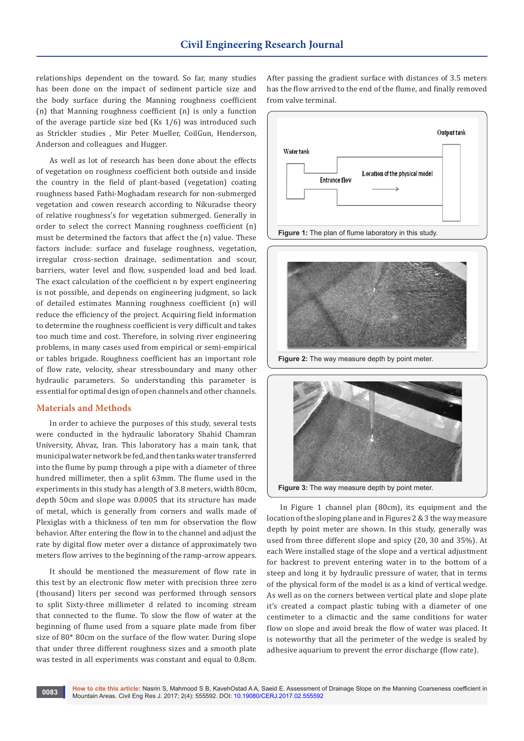relationships dependent on the toward. So far, many studies has been done on the impact of sediment particle size and the body surface during the Manning roughness coefficient (n) that Manning roughness coefficient (n) is only a function of the average particle size bed (Ks 1/6) was introduced such as Strickler studies , Mir Peter Mueller, CoilGun, Henderson, Anderson and colleagues and Hugger.

As well as lot of research has been done about the effects of vegetation on roughness coefficient both outside and inside the country in the field of plant-based (vegetation) coating roughness based Fathi-Moghadam research for non-submerged vegetation and cowen research according to Nikuradse theory of relative roughness's for vegetation submerged. Generally in order to select the correct Manning roughness coefficient (n) must be determined the factors that affect the (n) value. These factors include: surface and fuselage roughness, vegetation, irregular cross-section drainage, sedimentation and scour, barriers, water level and flow, suspended load and bed load. The exact calculation of the coefficient n by expert engineering is not possible, and depends on engineering judgment, so lack of detailed estimates Manning roughness coefficient (n) will reduce the efficiency of the project. Acquiring field information to determine the roughness coefficient is very difficult and takes too much time and cost. Therefore, in solving river engineering problems, in many cases used from empirical or semi-empirical or tables brigade. Roughness coefficient has an important role of flow rate, velocity, shear stressboundary and many other hydraulic parameters. So understanding this parameter is essential for optimal design of open channels and other channels.

## **Materials and Methods**

In order to achieve the purposes of this study, several tests were conducted in the hydraulic laboratory Shahid Chamran University, Ahvaz, Iran. This laboratory has a main tank, that municipal water network be fed, and then tanks water transferred into the flume by pump through a pipe with a diameter of three hundred millimeter, then a split 63mm. The flume used in the experiments in this study has a length of 3.8 meters, width 80cm, depth 50cm and slope was 0.0005 that its structure has made of metal, which is generally from corners and walls made of Plexiglas with a thickness of ten mm for observation the flow behavior. After entering the flow in to the channel and adjust the rate by digital flow meter over a distance of approximately two meters flow arrives to the beginning of the ramp-arrow appears.

It should be mentioned the measurement of flow rate in this test by an electronic flow meter with precision three zero (thousand) liters per second was performed through sensors to split Sixty-three millimeter d related to incoming stream that connected to the flume. To slow the flow of water at the beginning of flume used from a square plate made from fiber size of 80\* 80cm on the surface of the flow water. During slope that under three different roughness sizes and a smooth plate was tested in all experiments was constant and equal to 0.8cm.

After passing the gradient surface with distances of 3.5 meters has the flow arrived to the end of the flume, and finally removed from valve terminal.





**Figure 2:** The way measure depth by point meter.



In Figure 1 channel plan (80cm), its equipment and the location of the sloping plane and in Figures 2 & 3 the way measure depth by point meter are shown. In this study, generally was used from three different slope and spicy (20, 30 and 35%). At each Were installed stage of the slope and a vertical adjustment for backrest to prevent entering water in to the bottom of a steep and long it by hydraulic pressure of water, that in terms of the physical form of the model is as a kind of vertical wedge. As well as on the corners between vertical plate and slope plate it's created a compact plastic tubing with a diameter of one centimeter to a climactic and the same conditions for water flow on slope and avoid break the flow of water was placed. It is noteworthy that all the perimeter of the wedge is sealed by adhesive aquarium to prevent the error discharge (flow rate).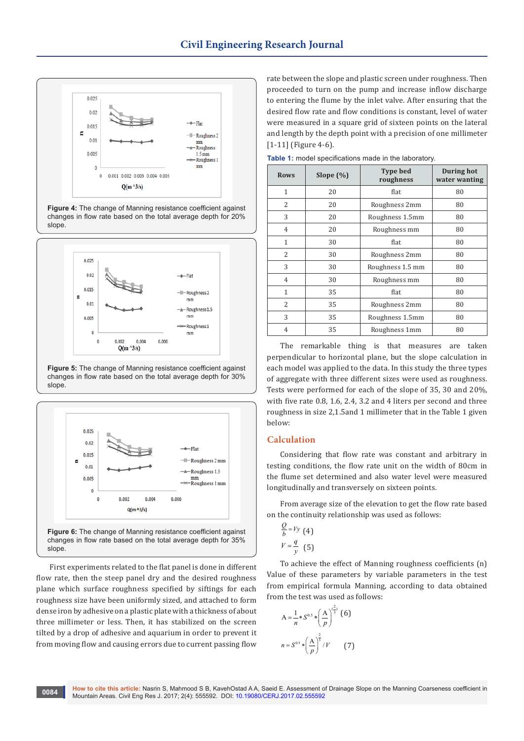

**Figure 4:** The change of Manning resistance coefficient against changes in flow rate based on the total average depth for 20% slope.



**Figure 5:** The change of Manning resistance coefficient against changes in flow rate based on the total average depth for 30% slope.



First experiments related to the flat panel is done in different flow rate, then the steep panel dry and the desired roughness plane which surface roughness specified by siftings for each roughness size have been uniformly sized, and attached to form dense iron by adhesive on a plastic plate with a thickness of about three millimeter or less. Then, it has stabilized on the screen tilted by a drop of adhesive and aquarium in order to prevent it from moving flow and causing errors due to current passing flow

rate between the slope and plastic screen under roughness. Then proceeded to turn on the pump and increase inflow discharge to entering the flume by the inlet valve. After ensuring that the desired flow rate and flow conditions is constant, level of water were measured in a square grid of sixteen points on the lateral and length by the depth point with a precision of one millimeter [1-11] (Figure 4-6).

**Rows Slope (%) Type bed roughness During hot water wanting** 1 20 flat 180  $2 \mid 20 \mid$  Roughness 2mm  $\mid 80$ 3 20 Roughness 1.5mm 80 4 20 Roughness mm 80 1 30 flat 1 80  $2 \qquad \qquad$  30 Roughness 2mm  $\qquad$  80  $\begin{array}{|c|c|c|c|c|c|}\n\hline\n3 & 30 & \text{Roughness} \ 1.5 & \text{mm} & \text{80}\n\end{array}$ 4 30 Roughness mm 80 1 35 flat 80  $2 \qquad \qquad$  35 | Roughness 2mm | 80 3 | 35 | Roughness 1.5mm | 80 4 | 35 | Roughness 1mm | 80

**Table 1:** model specifications made in the laboratory.

The remarkable thing is that measures are taken perpendicular to horizontal plane, but the slope calculation in each model was applied to the data. In this study the three types of aggregate with three different sizes were used as roughness. Tests were performed for each of the slope of 35, 30 and 20%, with five rate 0.8, 1.6, 2.4, 3.2 and 4 liters per second and three roughness in size 2,1.5and 1 millimeter that in the Table 1 given below:

## **Calculation**

Considering that flow rate was constant and arbitrary in testing conditions, the flow rate unit on the width of 80cm in the flume set determined and also water level were measured longitudinally and transversely on sixteen points.

From average size of the elevation to get the flow rate based on the continuity relationship was used as follows:

$$
\frac{Q}{b} = Vy \tag{4}
$$

$$
V = \frac{q}{y} \tag{5}
$$

To achieve the effect of Manning roughness coefficients (n) Value of these parameters by variable parameters in the test from empirical formula Manning, according to data obtained from the test was used as follows:

$$
A = \frac{1}{n} * S^{0.5} * \left(\frac{A}{p}\right)^{\left(\frac{2}{3}\right)} (6)
$$

$$
n = S^{0.5} * \left(\frac{A}{p}\right)^{\frac{2}{3}} / V \qquad (7)
$$